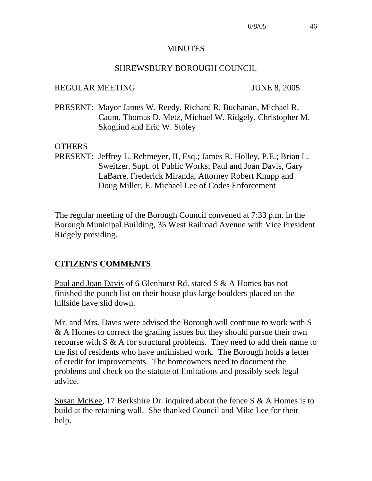#### **MINUTES**

#### SHREWSBURY BOROUGH COUNCIL

#### REGULAR MEETING JUNE 8, 2005

PRESENT: Mayor James W. Reedy, Richard R. Buchanan, Michael R. Caum, Thomas D. Metz, Michael W. Ridgely, Christopher M. Skoglind and Eric W. Stoley

#### **OTHERS**

PRESENT: Jeffrey L. Rehmeyer, II, Esq.; James R. Holley, P.E.; Brian L. Sweitzer, Supt. of Public Works; Paul and Joan Davis, Gary LaBarre, Frederick Miranda, Attorney Robert Knupp and Doug Miller, E. Michael Lee of Codes Enforcement

The regular meeting of the Borough Council convened at 7:33 p.m. in the Borough Municipal Building, 35 West Railroad Avenue with Vice President Ridgely presiding.

#### **CITIZEN'S COMMENTS**

Paul and Joan Davis of 6 Glenhurst Rd. stated S & A Homes has not finished the punch list on their house plus large boulders placed on the hillside have slid down.

Mr. and Mrs. Davis were advised the Borough will continue to work with S & A Homes to correct the grading issues but they should pursue their own recourse with S & A for structural problems. They need to add their name to the list of residents who have unfinished work. The Borough holds a letter of credit for improvements. The homeowners need to document the problems and check on the statute of limitations and possibly seek legal advice.

Susan McKee, 17 Berkshire Dr. inquired about the fence S & A Homes is to build at the retaining wall. She thanked Council and Mike Lee for their help.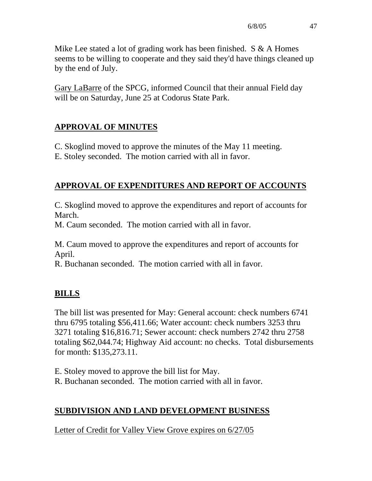Mike Lee stated a lot of grading work has been finished.  $S \& A$  Homes seems to be willing to cooperate and they said they'd have things cleaned up by the end of July.

Gary LaBarre of the SPCG, informed Council that their annual Field day will be on Saturday, June 25 at Codorus State Park.

# **APPROVAL OF MINUTES**

C. Skoglind moved to approve the minutes of the May 11 meeting.

E. Stoley seconded. The motion carried with all in favor.

# **APPROVAL OF EXPENDITURES AND REPORT OF ACCOUNTS**

C. Skoglind moved to approve the expenditures and report of accounts for March.

M. Caum seconded. The motion carried with all in favor.

M. Caum moved to approve the expenditures and report of accounts for April.

R. Buchanan seconded. The motion carried with all in favor.

# **BILLS**

The bill list was presented for May: General account: check numbers 6741 thru 6795 totaling \$56,411.66; Water account: check numbers 3253 thru 3271 totaling \$16,816.71; Sewer account: check numbers 2742 thru 2758 totaling \$62,044.74; Highway Aid account: no checks. Total disbursements for month: \$135,273.11.

- E. Stoley moved to approve the bill list for May.
- R. Buchanan seconded. The motion carried with all in favor.

# **SUBDIVISION AND LAND DEVELOPMENT BUSINESS**

Letter of Credit for Valley View Grove expires on 6/27/05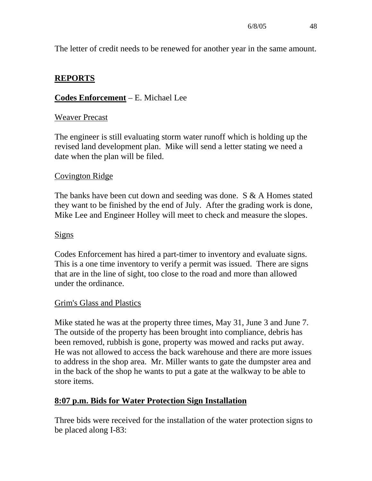The letter of credit needs to be renewed for another year in the same amount.

## **REPORTS**

## **Codes Enforcement** – E. Michael Lee

## Weaver Precast

The engineer is still evaluating storm water runoff which is holding up the revised land development plan. Mike will send a letter stating we need a date when the plan will be filed.

## Covington Ridge

The banks have been cut down and seeding was done. S & A Homes stated they want to be finished by the end of July. After the grading work is done, Mike Lee and Engineer Holley will meet to check and measure the slopes.

#### Signs

Codes Enforcement has hired a part-timer to inventory and evaluate signs. This is a one time inventory to verify a permit was issued. There are signs that are in the line of sight, too close to the road and more than allowed under the ordinance.

## Grim's Glass and Plastics

Mike stated he was at the property three times, May 31, June 3 and June 7. The outside of the property has been brought into compliance, debris has been removed, rubbish is gone, property was mowed and racks put away. He was not allowed to access the back warehouse and there are more issues to address in the shop area. Mr. Miller wants to gate the dumpster area and in the back of the shop he wants to put a gate at the walkway to be able to store items.

## **8:07 p.m. Bids for Water Protection Sign Installation**

Three bids were received for the installation of the water protection signs to be placed along I-83: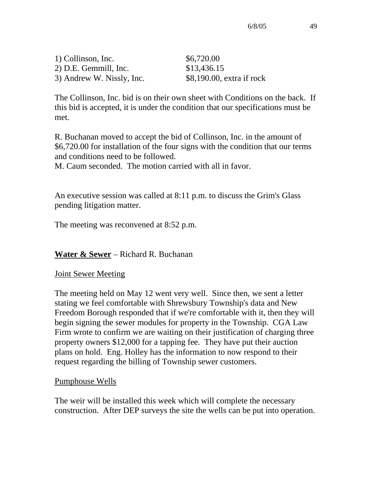| 1) Collinson, Inc.        | \$6,720.00                  |
|---------------------------|-----------------------------|
| 2) D.E. Gemmill, Inc.     | \$13,436.15                 |
| 3) Andrew W. Nissly, Inc. | $$8,190.00$ , extra if rock |

The Collinson, Inc. bid is on their own sheet with Conditions on the back. If this bid is accepted, it is under the condition that our specifications must be met.

R. Buchanan moved to accept the bid of Collinson, Inc. in the amount of \$6,720.00 for installation of the four signs with the condition that our terms and conditions need to be followed.

M. Caum seconded. The motion carried with all in favor.

An executive session was called at 8:11 p.m. to discuss the Grim's Glass pending litigation matter.

The meeting was reconvened at 8:52 p.m.

## **Water & Sewer** – Richard R. Buchanan

## **Joint Sewer Meeting**

The meeting held on May 12 went very well. Since then, we sent a letter stating we feel comfortable with Shrewsbury Township's data and New Freedom Borough responded that if we're comfortable with it, then they will begin signing the sewer modules for property in the Township. CGA Law Firm wrote to confirm we are waiting on their justification of charging three property owners \$12,000 for a tapping fee. They have put their auction plans on hold. Eng. Holley has the information to now respond to their request regarding the billing of Township sewer customers.

## Pumphouse Wells

The weir will be installed this week which will complete the necessary construction. After DEP surveys the site the wells can be put into operation.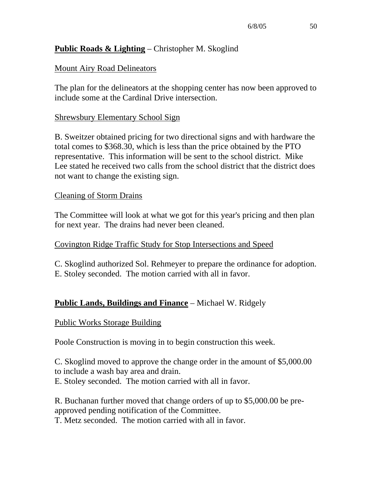## **Public Roads & Lighting** – Christopher M. Skoglind

#### Mount Airy Road Delineators

The plan for the delineators at the shopping center has now been approved to include some at the Cardinal Drive intersection.

#### Shrewsbury Elementary School Sign

B. Sweitzer obtained pricing for two directional signs and with hardware the total comes to \$368.30, which is less than the price obtained by the PTO representative. This information will be sent to the school district. Mike Lee stated he received two calls from the school district that the district does not want to change the existing sign.

#### Cleaning of Storm Drains

The Committee will look at what we got for this year's pricing and then plan for next year. The drains had never been cleaned.

#### Covington Ridge Traffic Study for Stop Intersections and Speed

C. Skoglind authorized Sol. Rehmeyer to prepare the ordinance for adoption. E. Stoley seconded. The motion carried with all in favor.

## **Public Lands, Buildings and Finance** – Michael W. Ridgely

#### Public Works Storage Building

Poole Construction is moving in to begin construction this week.

C. Skoglind moved to approve the change order in the amount of \$5,000.00 to include a wash bay area and drain.

E. Stoley seconded. The motion carried with all in favor.

R. Buchanan further moved that change orders of up to \$5,000.00 be preapproved pending notification of the Committee.

T. Metz seconded. The motion carried with all in favor.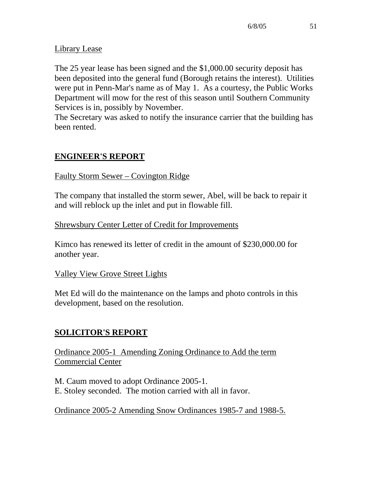## Library Lease

The 25 year lease has been signed and the \$1,000.00 security deposit has been deposited into the general fund (Borough retains the interest). Utilities were put in Penn-Mar's name as of May 1. As a courtesy, the Public Works Department will mow for the rest of this season until Southern Community Services is in, possibly by November.

The Secretary was asked to notify the insurance carrier that the building has been rented.

# **ENGINEER'S REPORT**

## Faulty Storm Sewer – Covington Ridge

The company that installed the storm sewer, Abel, will be back to repair it and will reblock up the inlet and put in flowable fill.

## Shrewsbury Center Letter of Credit for Improvements

Kimco has renewed its letter of credit in the amount of \$230,000.00 for another year.

## Valley View Grove Street Lights

Met Ed will do the maintenance on the lamps and photo controls in this development, based on the resolution.

# **SOLICITOR'S REPORT**

Ordinance 2005-1 Amending Zoning Ordinance to Add the term Commercial Center

M. Caum moved to adopt Ordinance 2005-1. E. Stoley seconded. The motion carried with all in favor.

# Ordinance 2005-2 Amending Snow Ordinances 1985-7 and 1988-5.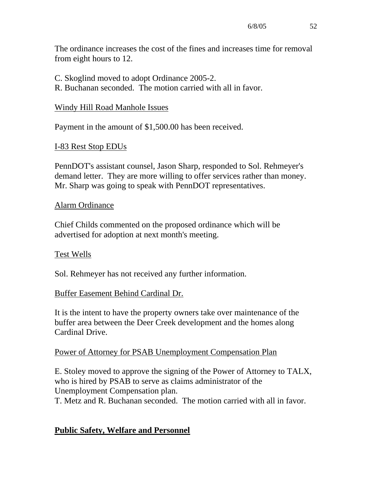The ordinance increases the cost of the fines and increases time for removal from eight hours to 12.

C. Skoglind moved to adopt Ordinance 2005-2.

R. Buchanan seconded. The motion carried with all in favor.

## Windy Hill Road Manhole Issues

Payment in the amount of \$1,500.00 has been received.

## I-83 Rest Stop EDUs

PennDOT's assistant counsel, Jason Sharp, responded to Sol. Rehmeyer's demand letter. They are more willing to offer services rather than money. Mr. Sharp was going to speak with PennDOT representatives.

## Alarm Ordinance

Chief Childs commented on the proposed ordinance which will be advertised for adoption at next month's meeting.

## Test Wells

Sol. Rehmeyer has not received any further information.

## Buffer Easement Behind Cardinal Dr.

It is the intent to have the property owners take over maintenance of the buffer area between the Deer Creek development and the homes along Cardinal Drive.

## Power of Attorney for PSAB Unemployment Compensation Plan

E. Stoley moved to approve the signing of the Power of Attorney to TALX, who is hired by PSAB to serve as claims administrator of the Unemployment Compensation plan.

T. Metz and R. Buchanan seconded. The motion carried with all in favor.

# **Public Safety, Welfare and Personnel**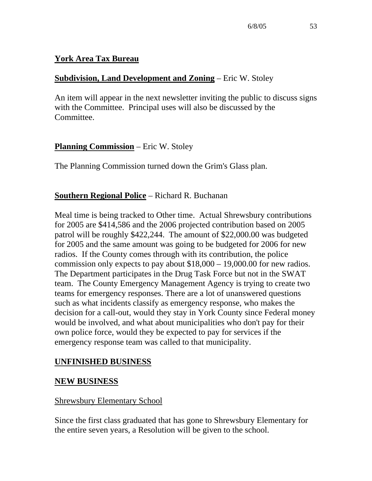## **York Area Tax Bureau**

## **Subdivision, Land Development and Zoning** – Eric W. Stoley

An item will appear in the next newsletter inviting the public to discuss signs with the Committee. Principal uses will also be discussed by the Committee.

## **Planning Commission** – Eric W. Stoley

The Planning Commission turned down the Grim's Glass plan.

## **Southern Regional Police** – Richard R. Buchanan

Meal time is being tracked to Other time. Actual Shrewsbury contributions for 2005 are \$414,586 and the 2006 projected contribution based on 2005 patrol will be roughly \$422,244. The amount of \$22,000.00 was budgeted for 2005 and the same amount was going to be budgeted for 2006 for new radios. If the County comes through with its contribution, the police commission only expects to pay about \$18,000 – 19,000.00 for new radios. The Department participates in the Drug Task Force but not in the SWAT team. The County Emergency Management Agency is trying to create two teams for emergency responses. There are a lot of unanswered questions such as what incidents classify as emergency response, who makes the decision for a call-out, would they stay in York County since Federal money would be involved, and what about municipalities who don't pay for their own police force, would they be expected to pay for services if the emergency response team was called to that municipality.

# **UNFINISHED BUSINESS**

## **NEW BUSINESS**

## Shrewsbury Elementary School

Since the first class graduated that has gone to Shrewsbury Elementary for the entire seven years, a Resolution will be given to the school.